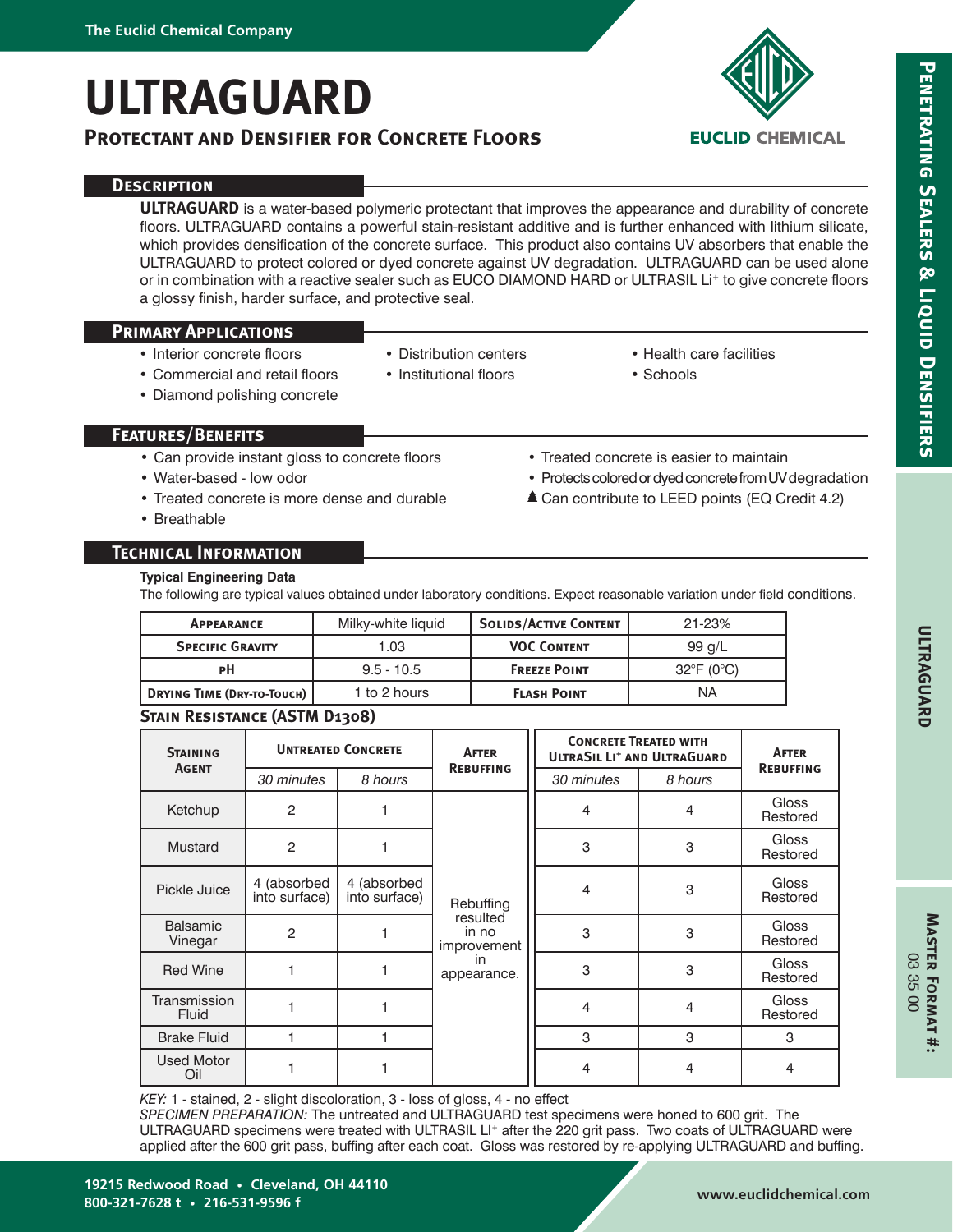# **ULTRAGUARD**

# **Protectant and Densifier for Concrete Floors**



# **Description**

**ULTRAGUARD** is a water-based polymeric protectant that improves the appearance and durability of concrete floors. ULTRAGUARD contains a powerful stain-resistant additive and is further enhanced with lithium silicate, which provides densification of the concrete surface. This product also contains UV absorbers that enable the ULTRAGUARD to protect colored or dyed concrete against UV degradation. ULTRAGUARD can be used alone or in combination with a reactive sealer such as EUCO DIAMOND HARD or ULTRASIL Li<sup>+</sup> to give concrete floors a glossy finish, harder surface, and protective seal.

## **Primary Applications**

- Interior concrete floors
- Distribution centers
- Institutional floors
- Commercial and retail floors • Diamond polishing concrete
- 
- Health care facilities • Schools

• Protects colored or dyed concrete from UV degradation **≜ Can contribute to LEED points (EQ Credit 4.2)** 

• Treated concrete is easier to maintain

# **Features/Benefits**

- Can provide instant gloss to concrete floors
- Water-based low odor
- Treated concrete is more dense and durable
- Breathable

**Technical Information Typical Engineering Data**

The following are typical values obtained under laboratory conditions. Expect reasonable variation under field conditions.

| <b>APPEARANCE</b>                                 | Milky-white liquid | <b>SOLIDS/ACTIVE CONTENT</b> | $21 - 23%$                      |  |
|---------------------------------------------------|--------------------|------------------------------|---------------------------------|--|
| <b>SPECIFIC GRAVITY</b>                           | 1.03               | <b>VOC CONTENT</b>           | 99 $q/L$                        |  |
| РH                                                | $9.5 - 10.5$       | <b>FREEZE POINT</b>          | $32^{\circ}$ F (0 $^{\circ}$ C) |  |
| <b>DRYING TIME (DRY-TO-TOUCH)</b><br>1 to 2 hours |                    | <b>FLASH POINT</b>           | ΝA                              |  |

# **Stain Resistance (ASTM D1308)**

| <b>STAINING</b><br><b>AGENT</b> | <b>UNTREATED CONCRETE</b>    |                              | <b>AFTER</b>                                                       | <b>CONCRETE TREATED WITH</b><br><b>ULTRASIL LI<sup>+</sup> AND ULTRAGUARD</b> |                | <b>AFTER</b>             |
|---------------------------------|------------------------------|------------------------------|--------------------------------------------------------------------|-------------------------------------------------------------------------------|----------------|--------------------------|
|                                 | 30 minutes                   | 8 hours                      | <b>REBUFFING</b>                                                   | 30 minutes                                                                    | 8 hours        | <b>REBUFFING</b>         |
| Ketchup                         | $\overline{2}$               |                              | Rebuffing<br>resulted<br>in no<br>improvement<br>in<br>appearance. | 4                                                                             | $\overline{4}$ | <b>Gloss</b><br>Restored |
| Mustard                         | 2                            |                              |                                                                    | 3                                                                             | 3              | Gloss<br>Restored        |
| Pickle Juice                    | 4 (absorbed<br>into surface) | 4 (absorbed<br>into surface) |                                                                    | 4                                                                             | 3              | Gloss<br>Restored        |
| <b>Balsamic</b><br>Vinegar      | $\overline{2}$               |                              |                                                                    | 3                                                                             | 3              | Gloss<br>Restored        |
| <b>Red Wine</b>                 |                              |                              |                                                                    | 3                                                                             | 3              | Gloss<br>Restored        |
| Transmission<br><b>Fluid</b>    |                              |                              |                                                                    | 4                                                                             | 4              | Gloss<br>Restored        |
| <b>Brake Fluid</b>              |                              |                              |                                                                    | 3                                                                             | 3              | 3                        |
| <b>Used Motor</b><br>Oil        |                              |                              |                                                                    | 4                                                                             | 4              | 4                        |

*KEY:* 1 - stained, 2 - slight discoloration, 3 - loss of gloss, 4 - no effect

*SPECIMEN PREPARATION:* The untreated and ULTRAGUARD test specimens were honed to 600 grit. The ULTRAGUARD specimens were treated with ULTRASIL LI<sup>+</sup> after the 220 grit pass. Two coats of ULTRAGUARD were applied after the 600 grit pass, buffing after each coat. Gloss was restored by re-applying ULTRAGUARD and buffing.